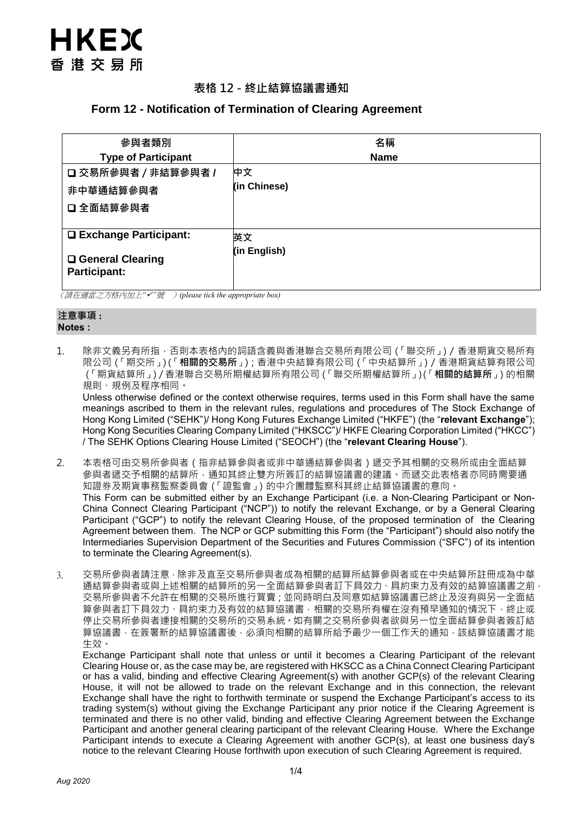

## **表格 12 - 終止結算協議書通知**

# **Form 12 - Notification of Termination of Clearing Agreement**

| 參與者類別                              | 名稱           |
|------------------------------------|--------------|
| <b>Type of Participant</b>         | <b>Name</b>  |
| □ 交易所參與者 / 非結算參與者 /                | 中文           |
| 非中華通結算參與者                          | (in Chinese) |
| □ 全面結算參與者                          |              |
|                                    |              |
| □ Exchange Participant:            | 英文           |
| □ General Clearing<br>Participant: | (in English) |

(請在適當之方格內加上*""*號 )*(please tick the appropriate box)*

#### **注意事項 : Notes :**

1. 除非文義另有所指·否則本表格內的詞語含義與香港聯合交易所有限公司 (「聯交所」) / 香港期貨交易所有 限公司(「期交所」)(「**相關的交易所**」); 香港中央結算有限公司(「中央結算所」)/ 香港期貨結算有限公司 (「期貨結算所」)/ 香港聯合交易所期權結算所有限公司(「聯交所期權結算所」)(「**相關的結算所**」)的相關 規則、規例及程序相同。

Unless otherwise defined or the context otherwise requires, terms used in this Form shall have the same meanings ascribed to them in the relevant rules, regulations and procedures of The Stock Exchange of Hong Kong Limited ("SEHK")/ Hong Kong Futures Exchange Limited ("HKFE") (the "**relevant Exchange**"); Hong Kong Securities Clearing Company Limited ("HKSCC")/ HKFE Clearing Corporation Limited ("HKCC") / The SEHK Options Clearing House Limited ("SEOCH") (the "**relevant Clearing House**").

- 2. 本表格可由交易所參與者(指非結算參與者或非中華通結算參與者)遞交予其相關的交易所或由全面結算 参與者遞交予相關的結算的其終止雙方所簽訂的結算協議書的建議。而遞交此表格者亦同時需要通 知證券及期貨事務監察委員會(「證監會」)的中介團體監察科其終止結算協議書的意向。 This Form can be submitted either by an Exchange Participant (i.e. a Non-Clearing Participant or Non-China Connect Clearing Participant ("NCP")) to notify the relevant Exchange, or by a General Clearing Participant ("GCP") to notify the relevant Clearing House, of the proposed termination of the Clearing Agreement between them. The NCP or GCP submitting this Form (the "Participant") should also notify the Intermediaries Supervision Department of the Securities and Futures Commission ("SFC") of its intention to terminate the Clearing Agreement(s).
- 3. 交易所參與者請注意,除非及直至交易所參與者成為相關的結算所結算參與者或在中央結算所註冊成為中華 通結算參與者或與上述相關的結算所的另一全面結算參與者訂下具效力、具約束力及有效的結算協議書之前, 交易所參與者不允許在相關的交易所進行買賣;並同時明白及同意如結算協議書已終止及沒有與另一全面結 算參與者訂下具效力、具約束力及有效的結算協議書,相關的交易所有權在沒有預早通知的情況下,終止或 停止交易所參與者連接相關的交易所的交易系統。如有關之交易所參與者欲與另一位全面結算參與者簽訂結 算協議書,在簽署新的結算協議書後,必須向相關的結算所給予最少一個工作天的通知,該結算協議書才能 生效。

Exchange Participant shall note that unless or until it becomes a Clearing Participant of the relevant Clearing House or, as the case may be, are registered with HKSCC as a China Connect Clearing Participant or has a valid, binding and effective Clearing Agreement(s) with another GCP(s) of the relevant Clearing House, it will not be allowed to trade on the relevant Exchange and in this connection, the relevant Exchange shall have the right to forthwith terminate or suspend the Exchange Participant's access to its trading system(s) without giving the Exchange Participant any prior notice if the Clearing Agreement is terminated and there is no other valid, binding and effective Clearing Agreement between the Exchange Participant and another general clearing participant of the relevant Clearing House. Where the Exchange Participant intends to execute a Clearing Agreement with another GCP(s), at least one business day's notice to the relevant Clearing House forthwith upon execution of such Clearing Agreement is required.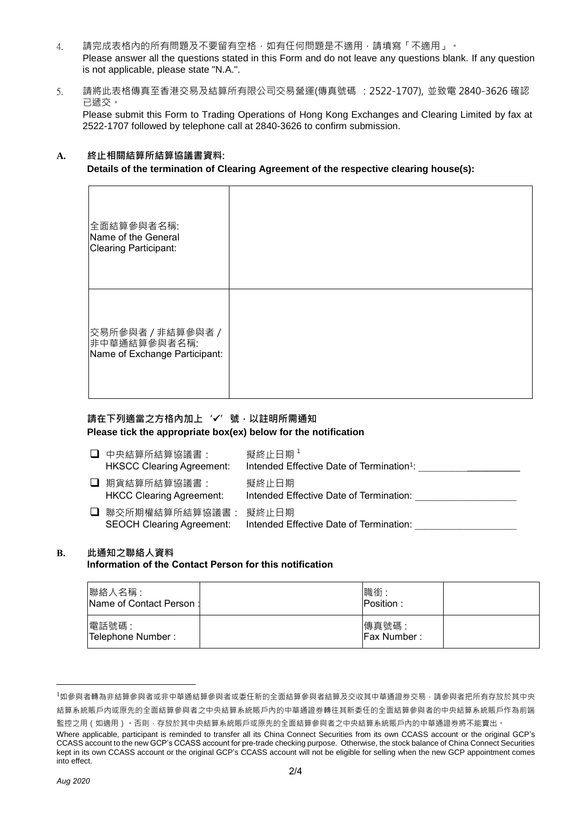- 4. 請完成表格內的所有問題及不要留有空格,如有任何問題是不適用,請填寫「不適用」。 Please answer all the questions stated in this Form and do not leave any questions blank. If any question is not applicable, please state "N.A.".
- 5. 請將此表格傳真至香港交易及結算所有限公司交易營運(傳真號碼 :2522-1707), 並致電 2840-3626 確認 已遞交。

Please submit this Form to Trading Operations of Hong Kong Exchanges and Clearing Limited by fax at 2522-1707 followed by telephone call at 2840-3626 to confirm submission.

### **A. 終止相關結算所結算協議書資料:**

**Details of the termination of Clearing Agreement of the respective clearing house(s):**

| 全面結算參與者名稱:<br>Name of the General<br><b>Clearing Participant:</b>   |  |
|---------------------------------------------------------------------|--|
| 交易所參與者 / 非結算參與者 /<br> 非中華通結算參與者名稱:<br>Name of Exchange Participant: |  |

### 請在下列適當之方格內加上 '√' 號, 以註明所需通知 **Please tick the appropriate box(ex) below for the notification**

| □ 中央結算所結算協議書:<br><b>HKSCC Clearing Agreement:</b>    | 擬終止日期 <sup>1</sup><br>Intended Effective Date of Termination <sup>1</sup> : |
|------------------------------------------------------|-----------------------------------------------------------------------------|
| □ 期貨結算所結算協議書:<br><b>HKCC Clearing Agreement:</b>     | 擬終止日期<br>Intended Effective Date of Termination:                            |
| □ 聯交所期權結算所結算協議書:<br><b>SEOCH Clearing Agreement:</b> | 擬終止日期<br>Intended Effective Date of Termination:                            |

## **B. 此通知之聯絡人資料 Information of the Contact Person for this notification**

| 聯絡人名稱:<br>Name of Contact Person: | 職銜<br>Position:              |  |
|-----------------------------------|------------------------------|--|
| 電話號碼:<br>Telephone Number:        | 傳真號碼:<br><b>IFax Number:</b> |  |

 $\overline{a}$ 

<sup>&</sup>lt;sup>1</sup>如參與者轉為非結算參與者或手等與者或委任新的全面結算參與者結算及交收其中華通證券交易,請參與者把所有存放於其中央

結算系統賬戶內或原先的全面結算參與者之中央結算系統賬戶內的中華通證券轉往其新委任的全面結算參與者的中央結算系統賬戶作為前端

監控之用 (如適用) · 否則 · 存放於其中央結算系統賬戶或原先的全面結算參與者之中央結算系統賬戶內的中華通證券將不能賣出 · Where applicable, participant is reminded to transfer all its China Connect Securities from its own CCASS account or the original GCP's CCASS account to the new GCP's CCASS account for pre-trade checking purpose. Otherwise, the stock balance of China Connect Securities kept in its own CCASS account or the original GCP's CCASS account will not be eligible for selling when the new GCP appointment comes into effect.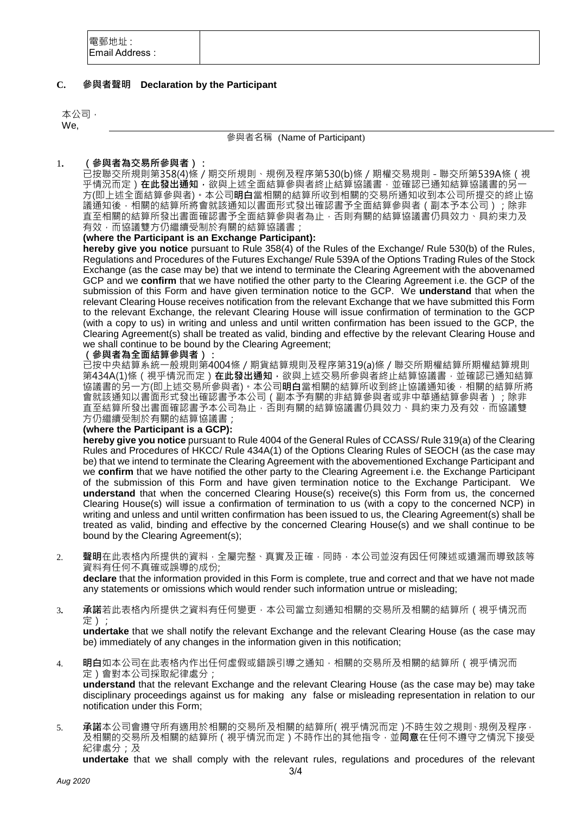#### **C. 參與者聲明 Declaration by the Participant**

本公司,

We,

參與者名稱 (Name of Participant)

### 1**. (參與者為交易所參與者):**

已按聯交所規則第358(4)條/期交所規則、規例及程序第530(b)條/期權交易規則 - 聯交所第539A條(視 乎情況而定)**在此發出通知**,欲與上述全面結算參與者終止結算協議書,並確認已通知結算協議書的另 方(即上述全面結算參與者)。本公司**明白**當相關的結算所收到相關的交易所通知收到本公司所提交的終止協 議通知後,相關的結算所將會就該通知以書面形式發出確認書予全面結算參與者(副本予本公司);除非 直至相關的結算所發出書面確認書予全面結算參與者為止,否則有關的結算協議書仍具效力、具約束力及 有效,而協議雙方仍繼續受制於有關的結算協議書;

#### **(where the Participant is an Exchange Participant):**

**hereby give you notice** pursuant to Rule 358(4) of the Rules of the Exchange/ Rule 530(b) of the Rules, Regulations and Procedures of the Futures Exchange/ Rule 539A of the Options Trading Rules of the Stock Exchange (as the case may be) that we intend to terminate the Clearing Agreement with the abovenamed GCP and we **confirm** that we have notified the other party to the Clearing Agreement i.e. the GCP of the submission of this Form and have given termination notice to the GCP. We **understand** that when the relevant Clearing House receives notification from the relevant Exchange that we have submitted this Form to the relevant Exchange, the relevant Clearing House will issue confirmation of termination to the GCP (with a copy to us) in writing and unless and until written confirmation has been issued to the GCP, the Clearing Agreement(s) shall be treated as valid, binding and effective by the relevant Clearing House and we shall continue to be bound by the Clearing Agreement;

#### **(參與者為全面結算參與者):**

已按中央結算系統一般規則第4004條/期貨結算規則及程序第319(a)條/聯交所期權結算所期權結算規則 第434A(1)條(視乎情況而定)**在此發出通知**,欲與上述交易所參與者終止結算協議書,並確認已通知結算 協議書的另一方(即上述交易所參與者)。本公司**明白**當相關的結算所收到終止協議通知後,相關的結算所將 會就該通知以書面形式發出確認書予本公司 (副本予有關的非結算參與者或非中華通結算參與者);除非 直至結算所發出書面確認書予本公司為止,否則有關的結算協議書仍具效力、具約束力及有效,而協議雙 方仍繼續受制於有關的結算協議書;

#### **(where the Participant is a GCP):**

**hereby give you notice** pursuant to Rule 4004 of the General Rules of CCASS/ Rule 319(a) of the Clearing Rules and Procedures of HKCC/ Rule 434A(1) of the Options Clearing Rules of SEOCH (as the case may be) that we intend to terminate the Clearing Agreement with the abovementioned Exchange Participant and we **confirm** that we have notified the other party to the Clearing Agreement i.e. the Exchange Participant of the submission of this Form and have given termination notice to the Exchange Participant. We **understand** that when the concerned Clearing House(s) receive(s) this Form from us, the concerned Clearing House(s) will issue a confirmation of termination to us (with a copy to the concerned NCP) in writing and unless and until written confirmation has been issued to us, the Clearing Agreement(s) shall be treated as valid, binding and effective by the concerned Clearing House(s) and we shall continue to be bound by the Clearing Agreement(s);

2. **聲明**在此表格內所提供的資料,全屬完整、真實及正確,同時,本公司並沒有因任何陳述或遺漏而導致該等 資料有任何不真確或誤導的成份;

**declare** that the information provided in this Form is complete, true and correct and that we have not made any statements or omissions which would render such information untrue or misleading;

#### 3**. 承諾**若此表格內所提供之資料有任何變更,本公司當立刻通知相關的交易所及相關的結算所(視乎情況而 定);

**undertake** that we shall notify the relevant Exchange and the relevant Clearing House (as the case may be) immediately of any changes in the information given in this notification;

4. **明白**如本公司在此表格內作出任何虛假或錯誤引導之通知,相關的交易所及相關的結算所(視乎情況而 定)會對本公司採取紀律處分 **understand** that the relevant Exchange and the relevant Clearing House (as the case may be) may take

disciplinary proceedings against us for making any false or misleading representation in relation to our notification under this Form;

5. **承諾**本公司會遵守所有適用於相關的交易所及相關的結算所(視乎情況而定)不時生效之規則、規例及程序, 及相關的交易所及相關的結算所(視乎情況而定)不時作出的其他指令,並**同意**在任何不遵守之情況下接受 紀律處分;及

**undertake** that we shall comply with the relevant rules, regulations and procedures of the relevant